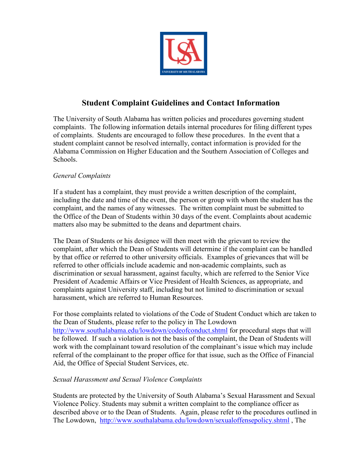

# **Student Complaint Guidelines and Contact Information**

The University of South Alabama has written policies and procedures governing student complaints. The following information details internal procedures for filing different types of complaints. Students are encouraged to follow these procedures. In the event that a student complaint cannot be resolved internally, contact information is provided for the Alabama Commission on Higher Education and the Southern Association of Colleges and Schools.

## *General Complaints*

If a student has a complaint, they must provide a written description of the complaint, including the date and time of the event, the person or group with whom the student has the complaint, and the names of any witnesses. The written complaint must be submitted to the Office of the Dean of Students within 30 days of the event. Complaints about academic matters also may be submitted to the deans and department chairs.

The Dean of Students or his designee will then meet with the grievant to review the complaint, after which the Dean of Students will determine if the complaint can be handled by that office or referred to other university officials. Examples of grievances that will be referred to other officials include academic and non-academic complaints, such as discrimination or sexual harassment, against faculty, which are referred to the Senior Vice President of Academic Affairs or Vice President of Health Sciences, as appropriate, and complaints against University staff, including but not limited to discrimination or sexual harassment, which are referred to Human Resources.

For those complaints related to violations of the Code of Student Conduct which are taken to the Dean of Students, please refer to the policy in The Lowdown http://www.southalabama.edu/lowdown/codeofconduct.shtml for procedural steps that will be followed. If such a violation is not the basis of the complaint, the Dean of Students will work with the complainant toward resolution of the complainant's issue which may include referral of the complainant to the proper office for that issue, such as the Office of Financial Aid, the Office of Special Student Services, etc.

## *Sexual Harassment and Sexual Violence Complaints*

Students are protected by the University of South Alabama's Sexual Harassment and Sexual Violence Policy. Students may submit a written complaint to the compliance officer as described above or to the Dean of Students. Again, please refer to the procedures outlined in The Lowdown, http://www.southalabama.edu/lowdown/sexualoffensepolicy.shtml, The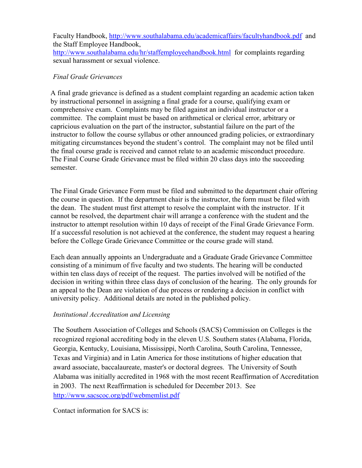Faculty Handbook, http://www.southalabama.edu/academicaffairs/facultyhandbook.pdf and the Staff Employee Handbook, http://www.southalabama.edu/hr/staffemployeehandbook.html for complaints regarding sexual harassment or sexual violence.

## *Final Grade Grievances*

A final grade grievance is defined as a student complaint regarding an academic action taken by instructional personnel in assigning a final grade for a course, qualifying exam or comprehensive exam. Complaints may be filed against an individual instructor or a committee. The complaint must be based on arithmetical or clerical error, arbitrary or capricious evaluation on the part of the instructor, substantial failure on the part of the instructor to follow the course syllabus or other announced grading policies, or extraordinary mitigating circumstances beyond the student's control. The complaint may not be filed until the final course grade is received and cannot relate to an academic misconduct procedure. The Final Course Grade Grievance must be filed within 20 class days into the succeeding semester.

the course in question. If the department chair is the instructor, the form must be filed with cannot be resolved, the department chair will arrange a conference with the student and the instructor to attempt resolution within 10 days of receipt of the Final Grade Grievance Form. If a successful resolution is not achieved at the conference, the student may request a hearing before the College Grade Grievance Committee or the course grade will stand. The Final Grade Grievance Form must be filed and submitted to the department chair offering the dean. The student must first attempt to resolve the complaint with the instructor. If it

Each dean annually appoints an Undergraduate and a Graduate Grade Grievance Committee consisting of a minimum of five faculty and two students. The hearing will be conducted within ten class days of receipt of the request. The parties involved will be notified of the decision in writing within three class days of conclusion of the hearing. The only grounds for an appeal to the Dean are violation of due process or rendering a decision in conflict with university policy. Additional details are noted in the published policy.

#### *Institutional Accreditation and Licensing*

The Southern Association of Colleges and Schools (SACS) Commission on Colleges is the recognized regional accrediting body in the eleven U.S. Southern states (Alabama, Florida, Georgia, Kentucky, Louisiana, Mississippi, North Carolina, South Carolina, Tennessee, Texas and Virginia) and in Latin America for those institutions of higher education that award associate, baccalaureate, master's or doctoral degrees. The University of South Alabama was initially accredited in 1968 with the most recent Reaffirmation of Accreditation in 2003. The next Reaffirmation is scheduled for December 2013. See http://www.sacscoc.org/pdf/webmemlist.pdf

Contact information for SACS is: